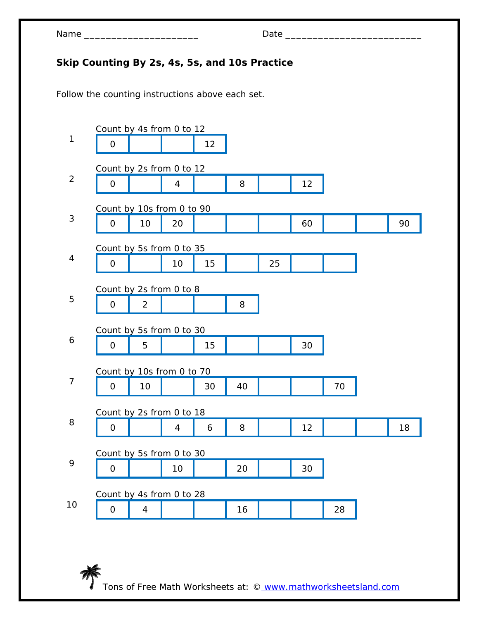## **Skip Counting By 2s, 4s, 5s, and 10s Practice**

Follow the counting instructions above each set.

|    | Count by 4s from 0 to 12  |                           |                |    |    |    |    |    |  |    |
|----|---------------------------|---------------------------|----------------|----|----|----|----|----|--|----|
|    | $\mathsf{O}$              |                           |                | 12 |    |    |    |    |  |    |
|    | Count by 2s from 0 to 12  |                           |                |    |    |    |    |    |  |    |
|    | $\mathsf{O}\xspace$       |                           | $\overline{4}$ |    | 8  |    | 12 |    |  |    |
| 3  | Count by 10s from 0 to 90 |                           |                |    |    |    |    |    |  |    |
|    | $\mathsf{O}$              | 10                        | 20             |    |    |    | 60 |    |  | 90 |
| 4  | Count by 5s from 0 to 35  |                           |                |    |    |    |    |    |  |    |
|    | $\overline{O}$            |                           | 10             | 15 |    | 25 |    |    |  |    |
|    | Count by 2s from 0 to 8   |                           |                |    |    |    |    |    |  |    |
|    | $\mathsf{O}$              | $\overline{2}$            |                |    | 8  |    |    |    |  |    |
|    | Count by 5s from 0 to 30  |                           |                |    |    |    |    |    |  |    |
|    | $\Omega$                  | 5                         |                | 15 |    |    | 30 |    |  |    |
|    |                           | Count by 10s from 0 to 70 |                |    |    |    |    |    |  |    |
|    | $\mathsf O$               | 10                        |                | 30 | 40 |    |    | 70 |  |    |
|    | Count by 2s from 0 to 18  |                           |                |    |    |    |    |    |  |    |
|    | $\mathsf O$               |                           | 4              | 6  | 8  |    | 12 |    |  | 18 |
|    | Count by 5s from 0 to 30  |                           |                |    |    |    |    |    |  |    |
|    | $\mathsf{O}\xspace$       |                           | 10             |    | 20 |    | 30 |    |  |    |
|    | Count by 4s from 0 to 28  |                           |                |    |    |    |    |    |  |    |
| 10 | $\mathsf O$               | $\overline{4}$            |                |    | 16 |    |    | 28 |  |    |
|    |                           |                           |                |    |    |    |    |    |  |    |

Tons of Free Math Worksheets at: © www.mathworksheetsland.com